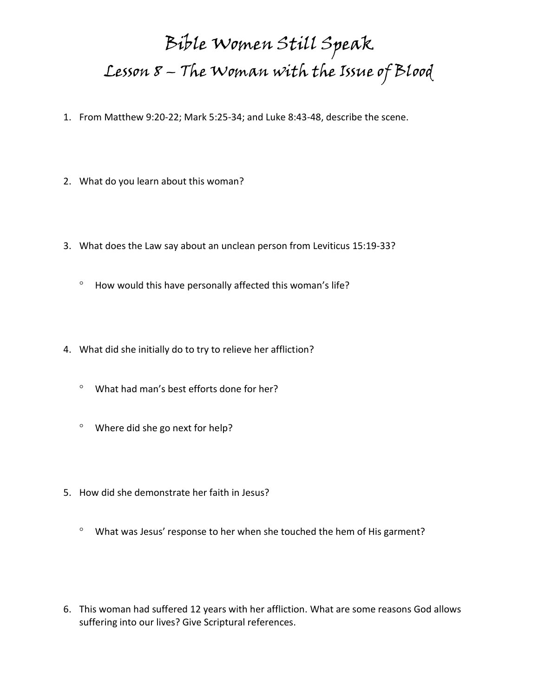## Bible Women Still Speak Lesson 8 – The Woman with the Issue of Blood

- 1. From Matthew 9:20-22; Mark 5:25-34; and Luke 8:43-48, describe the scene.
- 2. What do you learn about this woman?
- 3. What does the Law say about an unclean person from Leviticus 15:19-33?
	- $^{\circ}$  How would this have personally affected this woman's life?
- 4. What did she initially do to try to relieve her affliction?
	- What had man's best efforts done for her?
	- Where did she go next for help?
- 5. How did she demonstrate her faith in Jesus?
	- <sup>o</sup> What was Jesus' response to her when she touched the hem of His garment?
- 6. This woman had suffered 12 years with her affliction. What are some reasons God allows suffering into our lives? Give Scriptural references.